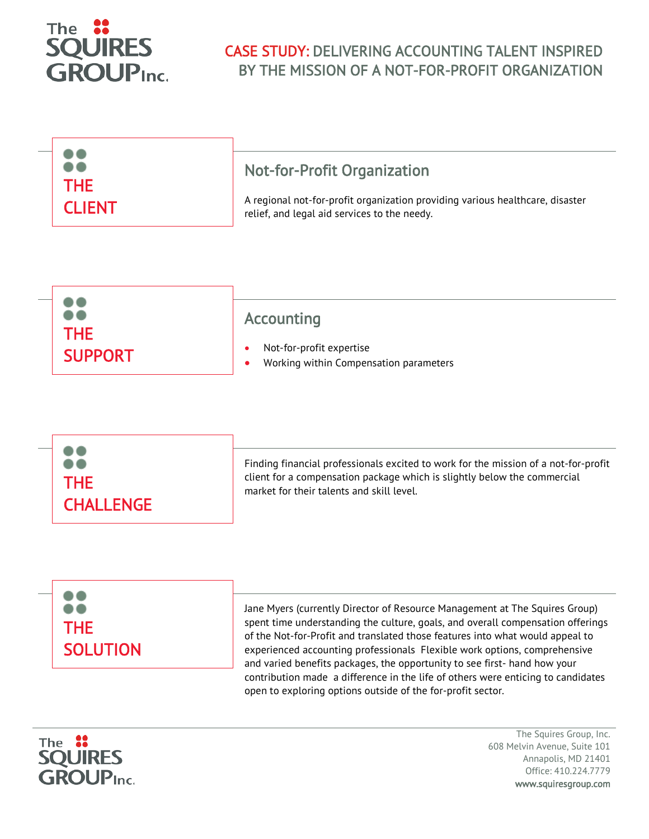

## CASE STUDY: DELIVERING ACCOUNTING TALENT INSPIRED BY THE MISSION OF A NOT-FOR-PROFIT ORGANIZATION

|               | <b>Not-for-Profit Organization</b>                                            |
|---------------|-------------------------------------------------------------------------------|
| <b>THE</b>    | A regional not-for-profit organization providing various healthcare, disaster |
| <b>CLIENT</b> | relief, and legal aid services to the needy.                                  |

| $\bullet$      | Accounting                             |
|----------------|----------------------------------------|
| THE.           | Not-for-profit expertise               |
| <b>SUPPORT</b> | Working within Compensation parameters |

| <b>THE</b><br><b>CHALLENGE</b> | Finding financial professionals excited to work for the mission of a not-for-profit<br>client for a compensation package which is slightly below the commercial<br>market for their talents and skill level. |
|--------------------------------|--------------------------------------------------------------------------------------------------------------------------------------------------------------------------------------------------------------|
|--------------------------------|--------------------------------------------------------------------------------------------------------------------------------------------------------------------------------------------------------------|





The Squires Group, Inc. 608 Melvin Avenue, Suite 101 Annapolis, MD 21401 Office: 410.224.7779 www.squiresgroup.com